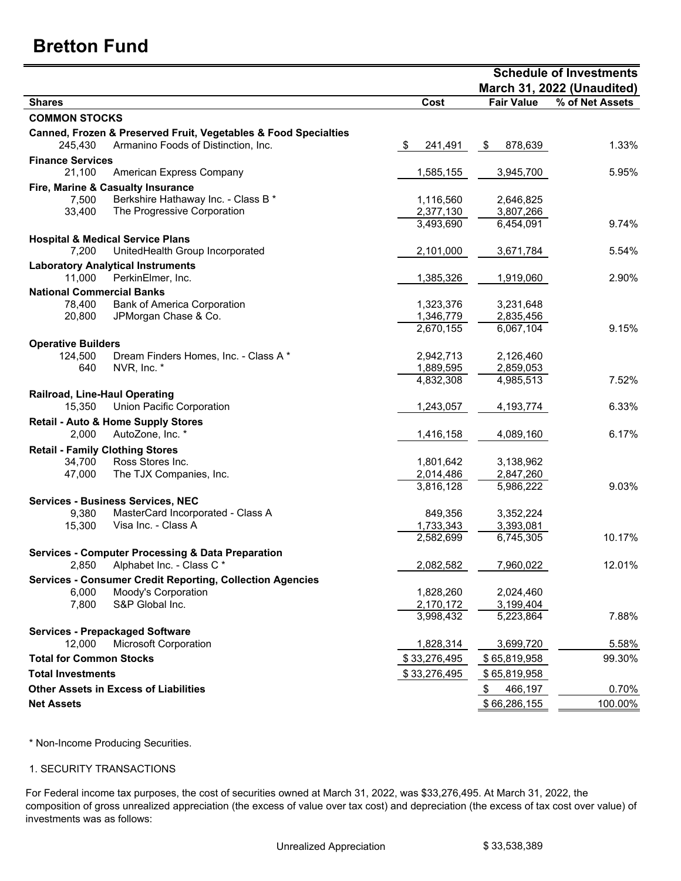## **Bretton Fund**

|                                                                  |                 | <b>Schedule of Investments</b> |                            |  |  |
|------------------------------------------------------------------|-----------------|--------------------------------|----------------------------|--|--|
|                                                                  |                 |                                | March 31, 2022 (Unaudited) |  |  |
| <b>Shares</b>                                                    | Cost            | <b>Fair Value</b>              | % of Net Assets            |  |  |
| <b>COMMON STOCKS</b>                                             |                 |                                |                            |  |  |
| Canned, Frozen & Preserved Fruit, Vegetables & Food Specialties  |                 |                                |                            |  |  |
| 245,430<br>Armanino Foods of Distinction, Inc.                   | 241,491<br>- \$ | \$<br>878,639                  | 1.33%                      |  |  |
| <b>Finance Services</b>                                          |                 |                                |                            |  |  |
| 21,100<br>American Express Company                               | 1,585,155       | 3,945,700                      | 5.95%                      |  |  |
| Fire, Marine & Casualty Insurance                                |                 |                                |                            |  |  |
| Berkshire Hathaway Inc. - Class B *<br>7,500                     | 1,116,560       | 2,646,825                      |                            |  |  |
| The Progressive Corporation<br>33,400                            | 2,377,130       | 3,807,266                      |                            |  |  |
|                                                                  | 3,493,690       | 6,454,091                      | 9.74%                      |  |  |
| <b>Hospital &amp; Medical Service Plans</b>                      |                 |                                |                            |  |  |
| 7,200<br>UnitedHealth Group Incorporated                         | 2,101,000       | 3,671,784                      | 5.54%                      |  |  |
| <b>Laboratory Analytical Instruments</b>                         |                 |                                |                            |  |  |
| 11,000<br>PerkinElmer, Inc.                                      | 1,385,326       | 1,919,060                      | 2.90%                      |  |  |
| <b>National Commercial Banks</b>                                 |                 |                                |                            |  |  |
| 78,400<br><b>Bank of America Corporation</b>                     | 1,323,376       | 3,231,648                      |                            |  |  |
| JPMorgan Chase & Co.<br>20,800                                   | 1,346,779       | 2,835,456                      |                            |  |  |
|                                                                  | 2,670,155       | 6,067,104                      | 9.15%                      |  |  |
| <b>Operative Builders</b>                                        |                 |                                |                            |  |  |
| 124,500<br>Dream Finders Homes, Inc. - Class A *                 | 2,942,713       | 2,126,460                      |                            |  |  |
| 640<br>NVR, Inc. *                                               | 1,889,595       | 2,859,053                      |                            |  |  |
|                                                                  | 4,832,308       | 4,985,513                      | 7.52%                      |  |  |
| Railroad, Line-Haul Operating                                    |                 |                                |                            |  |  |
| 15,350<br><b>Union Pacific Corporation</b>                       | 1,243,057       | 4,193,774                      | 6.33%                      |  |  |
| <b>Retail - Auto &amp; Home Supply Stores</b>                    |                 |                                |                            |  |  |
| AutoZone, Inc. *<br>2,000                                        | 1,416,158       | 4,089,160                      | 6.17%                      |  |  |
| <b>Retail - Family Clothing Stores</b>                           |                 |                                |                            |  |  |
| Ross Stores Inc.<br>34,700                                       | 1,801,642       | 3,138,962                      |                            |  |  |
| 47,000<br>The TJX Companies, Inc.                                | 2,014,486       | 2,847,260                      |                            |  |  |
|                                                                  | 3,816,128       | 5,986,222                      | 9.03%                      |  |  |
| <b>Services - Business Services, NEC</b>                         |                 |                                |                            |  |  |
| MasterCard Incorporated - Class A<br>9,380                       | 849,356         | 3,352,224                      |                            |  |  |
| Visa Inc. - Class A<br>15,300                                    | 1,733,343       | 3,393,081                      |                            |  |  |
|                                                                  | 2,582,699       | 6,745,305                      | 10.17%                     |  |  |
| <b>Services - Computer Processing &amp; Data Preparation</b>     |                 |                                |                            |  |  |
| 2,850 Alphabet Inc. - Class C *                                  | 2,082,582       | 7,960,022                      | 12.01%                     |  |  |
| <b>Services - Consumer Credit Reporting, Collection Agencies</b> |                 |                                |                            |  |  |
| Moody's Corporation<br>6,000                                     | 1,828,260       | 2,024,460                      |                            |  |  |
| S&P Global Inc.<br>7,800                                         | 2,170,172       | 3,199,404                      |                            |  |  |
|                                                                  | 3,998,432       | 5,223,864                      | 7.88%                      |  |  |
| <b>Services - Prepackaged Software</b>                           |                 |                                |                            |  |  |
| 12,000<br><b>Microsoft Corporation</b>                           | 1,828,314       | 3,699,720                      | 5.58%                      |  |  |
| <b>Total for Common Stocks</b>                                   | \$33,276,495    | \$65,819,958                   | 99.30%                     |  |  |
| <b>Total Investments</b>                                         | \$33,276,495    | \$65,819,958                   |                            |  |  |
| <b>Other Assets in Excess of Liabilities</b>                     |                 | \$<br>466,197                  | 0.70%                      |  |  |
| <b>Net Assets</b>                                                |                 | \$66,286,155                   | 100.00%                    |  |  |

\* Non-Income Producing Securities.

## 1. SECURITY TRANSACTIONS

For Federal income tax purposes, the cost of securities owned at March 31, 2022, was \$33,276,495. At March 31, 2022, the composition of gross unrealized appreciation (the excess of value over tax cost) and depreciation (the excess of tax cost over value) of investments was as follows: